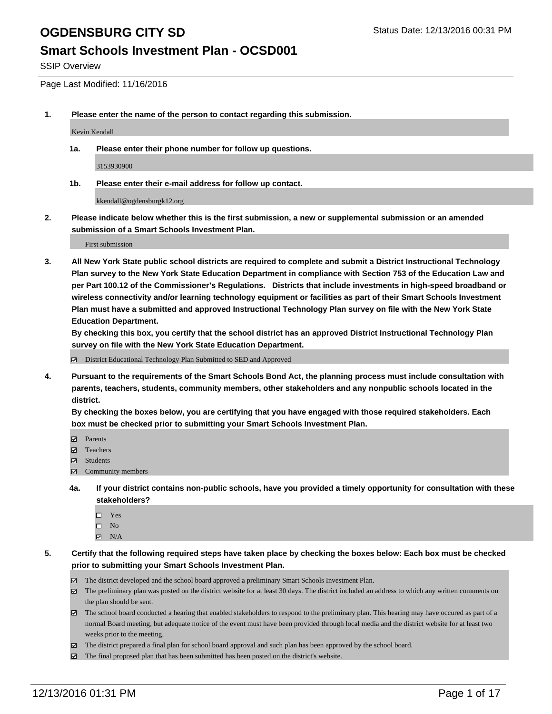#### **Smart Schools Investment Plan - OCSD001**

SSIP Overview

Page Last Modified: 11/16/2016

**1. Please enter the name of the person to contact regarding this submission.**

Kevin Kendall

**1a. Please enter their phone number for follow up questions.**

3153930900

**1b. Please enter their e-mail address for follow up contact.**

kkendall@ogdensburgk12.org

**2. Please indicate below whether this is the first submission, a new or supplemental submission or an amended submission of a Smart Schools Investment Plan.**

First submission

**3. All New York State public school districts are required to complete and submit a District Instructional Technology Plan survey to the New York State Education Department in compliance with Section 753 of the Education Law and per Part 100.12 of the Commissioner's Regulations. Districts that include investments in high-speed broadband or wireless connectivity and/or learning technology equipment or facilities as part of their Smart Schools Investment Plan must have a submitted and approved Instructional Technology Plan survey on file with the New York State Education Department.** 

**By checking this box, you certify that the school district has an approved District Instructional Technology Plan survey on file with the New York State Education Department.**

District Educational Technology Plan Submitted to SED and Approved

**4. Pursuant to the requirements of the Smart Schools Bond Act, the planning process must include consultation with parents, teachers, students, community members, other stakeholders and any nonpublic schools located in the district.** 

**By checking the boxes below, you are certifying that you have engaged with those required stakeholders. Each box must be checked prior to submitting your Smart Schools Investment Plan.**

- **Parents**
- Teachers
- **冈** Students
- Community members
- **4a. If your district contains non-public schools, have you provided a timely opportunity for consultation with these stakeholders?**
	- □ Yes
	- $\square$  No
	- $\boxtimes$  N/A
- **5. Certify that the following required steps have taken place by checking the boxes below: Each box must be checked prior to submitting your Smart Schools Investment Plan.**
	- The district developed and the school board approved a preliminary Smart Schools Investment Plan.
	- The preliminary plan was posted on the district website for at least 30 days. The district included an address to which any written comments on the plan should be sent.
	- The school board conducted a hearing that enabled stakeholders to respond to the preliminary plan. This hearing may have occured as part of a normal Board meeting, but adequate notice of the event must have been provided through local media and the district website for at least two weeks prior to the meeting.
	- The district prepared a final plan for school board approval and such plan has been approved by the school board.
	- $\boxtimes$  The final proposed plan that has been submitted has been posted on the district's website.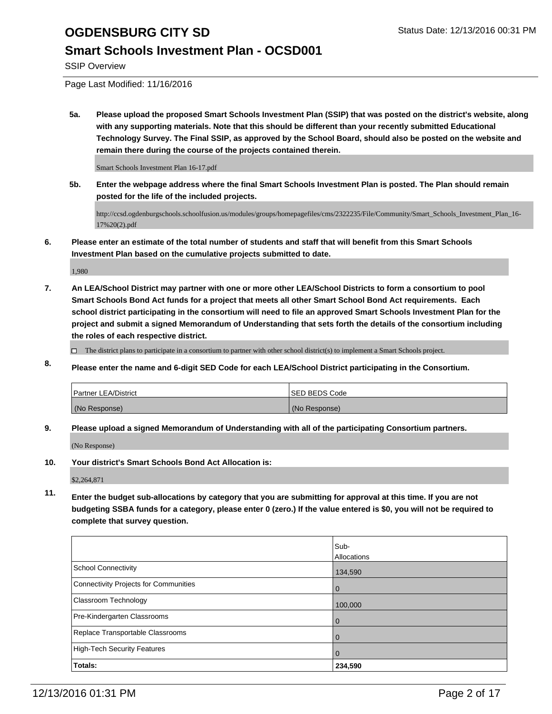### **Smart Schools Investment Plan - OCSD001**

SSIP Overview

Page Last Modified: 11/16/2016

**5a. Please upload the proposed Smart Schools Investment Plan (SSIP) that was posted on the district's website, along with any supporting materials. Note that this should be different than your recently submitted Educational Technology Survey. The Final SSIP, as approved by the School Board, should also be posted on the website and remain there during the course of the projects contained therein.**

Smart Schools Investment Plan 16-17.pdf

**5b. Enter the webpage address where the final Smart Schools Investment Plan is posted. The Plan should remain posted for the life of the included projects.**

http://ccsd.ogdenburgschools.schoolfusion.us/modules/groups/homepagefiles/cms/2322235/File/Community/Smart\_Schools\_Investment\_Plan\_16- 17%20(2).pdf

**6. Please enter an estimate of the total number of students and staff that will benefit from this Smart Schools Investment Plan based on the cumulative projects submitted to date.**

1,980

**7. An LEA/School District may partner with one or more other LEA/School Districts to form a consortium to pool Smart Schools Bond Act funds for a project that meets all other Smart School Bond Act requirements. Each school district participating in the consortium will need to file an approved Smart Schools Investment Plan for the project and submit a signed Memorandum of Understanding that sets forth the details of the consortium including the roles of each respective district.**

 $\Box$  The district plans to participate in a consortium to partner with other school district(s) to implement a Smart Schools project.

**8. Please enter the name and 6-digit SED Code for each LEA/School District participating in the Consortium.**

| Partner LEA/District | <b>ISED BEDS Code</b> |
|----------------------|-----------------------|
| (No Response)        | (No Response)         |

**9. Please upload a signed Memorandum of Understanding with all of the participating Consortium partners.**

(No Response)

**10. Your district's Smart Schools Bond Act Allocation is:**

\$2,264,871

**11. Enter the budget sub-allocations by category that you are submitting for approval at this time. If you are not budgeting SSBA funds for a category, please enter 0 (zero.) If the value entered is \$0, you will not be required to complete that survey question.**

|                                       | Sub-<br><b>Allocations</b> |
|---------------------------------------|----------------------------|
| <b>School Connectivity</b>            | 134,590                    |
| Connectivity Projects for Communities | 0                          |
| Classroom Technology                  | 100,000                    |
| Pre-Kindergarten Classrooms           | $\Omega$                   |
| Replace Transportable Classrooms      | 0                          |
| High-Tech Security Features           | $\Omega$                   |
| Totals:                               | 234,590                    |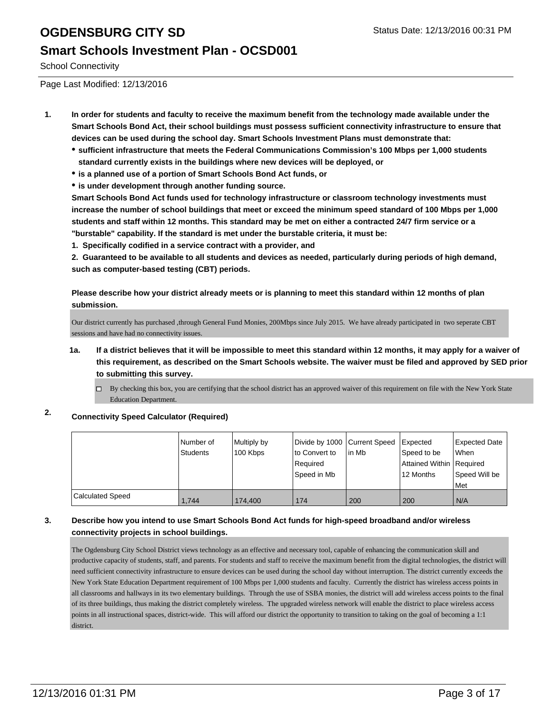#### **Smart Schools Investment Plan - OCSD001**

School Connectivity

Page Last Modified: 12/13/2016

- **1. In order for students and faculty to receive the maximum benefit from the technology made available under the Smart Schools Bond Act, their school buildings must possess sufficient connectivity infrastructure to ensure that devices can be used during the school day. Smart Schools Investment Plans must demonstrate that:**
	- **sufficient infrastructure that meets the Federal Communications Commission's 100 Mbps per 1,000 students standard currently exists in the buildings where new devices will be deployed, or**
	- **is a planned use of a portion of Smart Schools Bond Act funds, or**
	- **is under development through another funding source.**

**Smart Schools Bond Act funds used for technology infrastructure or classroom technology investments must increase the number of school buildings that meet or exceed the minimum speed standard of 100 Mbps per 1,000 students and staff within 12 months. This standard may be met on either a contracted 24/7 firm service or a "burstable" capability. If the standard is met under the burstable criteria, it must be:**

**1. Specifically codified in a service contract with a provider, and**

**2. Guaranteed to be available to all students and devices as needed, particularly during periods of high demand, such as computer-based testing (CBT) periods.**

**Please describe how your district already meets or is planning to meet this standard within 12 months of plan submission.**

Our district currently has purchased ,through General Fund Monies, 200Mbps since July 2015. We have already participated in two seperate CBT sessions and have had no connectivity issues.

- **1a. If a district believes that it will be impossible to meet this standard within 12 months, it may apply for a waiver of this requirement, as described on the Smart Schools website. The waiver must be filed and approved by SED prior to submitting this survey.**
	- By checking this box, you are certifying that the school district has an approved waiver of this requirement on file with the New York State Education Department.

#### **2. Connectivity Speed Calculator (Required)**

|                         | Number of<br><b>Students</b> | Multiply by<br>100 Kbps | Divide by 1000 Current Speed<br>to Convert to<br>Required | l in Mb | Expected<br>Speed to be<br>Attained Within Required | Expected Date<br><b>When</b> |
|-------------------------|------------------------------|-------------------------|-----------------------------------------------------------|---------|-----------------------------------------------------|------------------------------|
|                         |                              |                         | Speed in Mb                                               |         | 12 Months                                           | Speed Will be<br>Met         |
| <b>Calculated Speed</b> | 1.744                        | 174,400                 | 174                                                       | 200     | 200                                                 | I N/A                        |

#### **3. Describe how you intend to use Smart Schools Bond Act funds for high-speed broadband and/or wireless connectivity projects in school buildings.**

The Ogdensburg City School District views technology as an effective and necessary tool, capable of enhancing the communication skill and productive capacity of students, staff, and parents. For students and staff to receive the maximum benefit from the digital technologies, the district will need sufficient connectivity infrastructure to ensure devices can be used during the school day without interruption. The district currently exceeds the New York State Education Department requirement of 100 Mbps per 1,000 students and faculty. Currently the district has wireless access points in all classrooms and hallways in its two elementary buildings. Through the use of SSBA monies, the district will add wireless access points to the final of its three buildings, thus making the district completely wireless. The upgraded wireless network will enable the district to place wireless access points in all instructional spaces, district-wide. This will afford our district the opportunity to transition to taking on the goal of becoming a 1:1 district.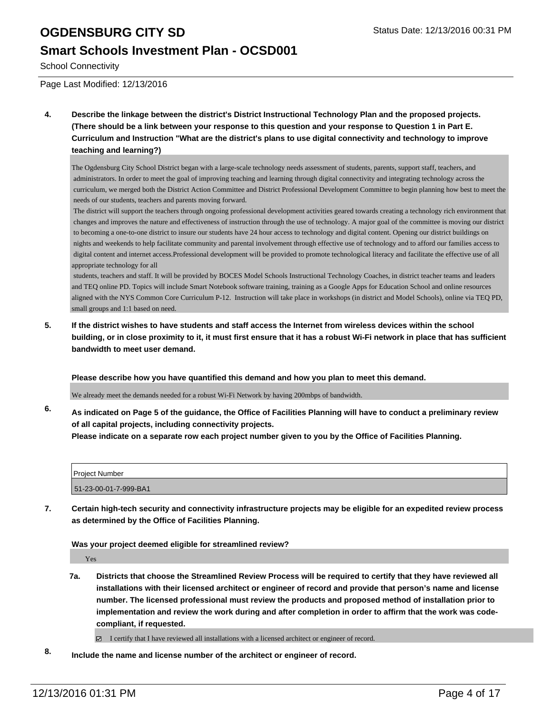#### **Smart Schools Investment Plan - OCSD001**

School Connectivity

Page Last Modified: 12/13/2016

**4. Describe the linkage between the district's District Instructional Technology Plan and the proposed projects. (There should be a link between your response to this question and your response to Question 1 in Part E. Curriculum and Instruction "What are the district's plans to use digital connectivity and technology to improve teaching and learning?)**

The Ogdensburg City School District began with a large-scale technology needs assessment of students, parents, support staff, teachers, and administrators. In order to meet the goal of improving teaching and learning through digital connectivity and integrating technology across the curriculum, we merged both the District Action Committee and District Professional Development Committee to begin planning how best to meet the needs of our students, teachers and parents moving forward.

 The district will support the teachers through ongoing professional development activities geared towards creating a technology rich environment that changes and improves the nature and effectiveness of instruction through the use of technology. A major goal of the committee is moving our district to becoming a one-to-one district to insure our students have 24 hour access to technology and digital content. Opening our district buildings on nights and weekends to help facilitate community and parental involvement through effective use of technology and to afford our families access to digital content and internet access.Professional development will be provided to promote technological literacy and facilitate the effective use of all appropriate technology for all

 students, teachers and staff. It will be provided by BOCES Model Schools Instructional Technology Coaches, in district teacher teams and leaders and TEQ online PD. Topics will include Smart Notebook software training, training as a Google Apps for Education School and online resources aligned with the NYS Common Core Curriculum P-12. Instruction will take place in workshops (in district and Model Schools), online via TEQ PD, small groups and 1:1 based on need.

**5. If the district wishes to have students and staff access the Internet from wireless devices within the school building, or in close proximity to it, it must first ensure that it has a robust Wi-Fi network in place that has sufficient bandwidth to meet user demand.**

**Please describe how you have quantified this demand and how you plan to meet this demand.**

We already meet the demands needed for a robust Wi-Fi Network by having 200mbps of bandwidth.

**6. As indicated on Page 5 of the guidance, the Office of Facilities Planning will have to conduct a preliminary review of all capital projects, including connectivity projects. Please indicate on a separate row each project number given to you by the Office of Facilities Planning.**

| <b>Project Number</b> |  |
|-----------------------|--|
| 51-23-00-01-7-999-BA1 |  |

**7. Certain high-tech security and connectivity infrastructure projects may be eligible for an expedited review process as determined by the Office of Facilities Planning.**

#### **Was your project deemed eligible for streamlined review?**

Yes

**7a. Districts that choose the Streamlined Review Process will be required to certify that they have reviewed all installations with their licensed architect or engineer of record and provide that person's name and license number. The licensed professional must review the products and proposed method of installation prior to implementation and review the work during and after completion in order to affirm that the work was codecompliant, if requested.**

I certify that I have reviewed all installations with a licensed architect or engineer of record.

**8. Include the name and license number of the architect or engineer of record.**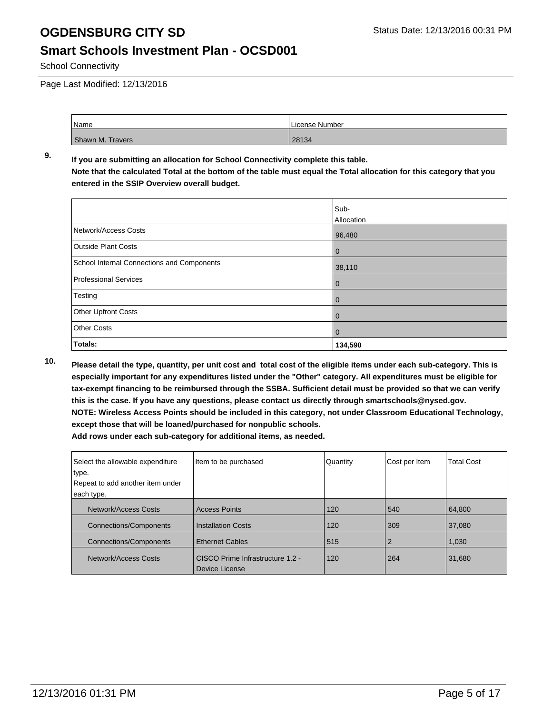#### **Smart Schools Investment Plan - OCSD001**

School Connectivity

Page Last Modified: 12/13/2016

| Name             | License Number |
|------------------|----------------|
| Shawn M. Travers | 28134          |

#### **9. If you are submitting an allocation for School Connectivity complete this table. Note that the calculated Total at the bottom of the table must equal the Total allocation for this category that you entered in the SSIP Overview overall budget.**

|                                            | Sub-<br>Allocation |
|--------------------------------------------|--------------------|
| Network/Access Costs                       | 96,480             |
| <b>Outside Plant Costs</b>                 | $\mathbf 0$        |
| School Internal Connections and Components | 38,110             |
| <b>Professional Services</b>               | $\mathbf 0$        |
| Testing                                    | 0                  |
| Other Upfront Costs                        | 0                  |
| <b>Other Costs</b>                         | 0                  |
| Totals:                                    | 134,590            |

**10. Please detail the type, quantity, per unit cost and total cost of the eligible items under each sub-category. This is especially important for any expenditures listed under the "Other" category. All expenditures must be eligible for tax-exempt financing to be reimbursed through the SSBA. Sufficient detail must be provided so that we can verify this is the case. If you have any questions, please contact us directly through smartschools@nysed.gov. NOTE: Wireless Access Points should be included in this category, not under Classroom Educational Technology, except those that will be loaned/purchased for nonpublic schools.**

| Select the allowable expenditure<br>type.      | Item to be purchased                               | Quantity | Cost per Item  | <b>Total Cost</b> |
|------------------------------------------------|----------------------------------------------------|----------|----------------|-------------------|
| Repeat to add another item under<br>each type. |                                                    |          |                |                   |
|                                                |                                                    |          |                |                   |
| <b>Network/Access Costs</b>                    | <b>Access Points</b>                               | 120      | 540            | 64.800            |
| <b>Connections/Components</b>                  | <b>Installation Costs</b>                          | 120      | 309            | 37.080            |
| <b>Connections/Components</b>                  | <b>Ethernet Cables</b>                             | 515      | $\overline{2}$ | 1,030             |
| Network/Access Costs                           | CISCO Prime Infrastructure 1.2 -<br>Device License | 120      | 264            | 31,680            |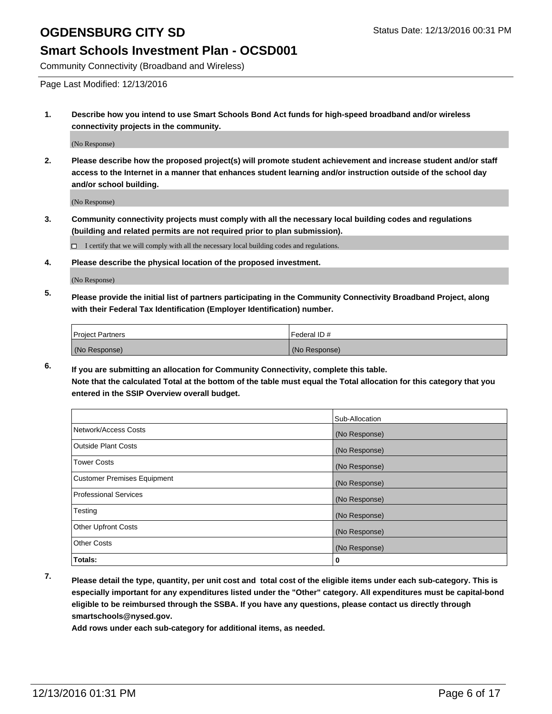#### **Smart Schools Investment Plan - OCSD001**

Community Connectivity (Broadband and Wireless)

Page Last Modified: 12/13/2016

**1. Describe how you intend to use Smart Schools Bond Act funds for high-speed broadband and/or wireless connectivity projects in the community.**

(No Response)

**2. Please describe how the proposed project(s) will promote student achievement and increase student and/or staff access to the Internet in a manner that enhances student learning and/or instruction outside of the school day and/or school building.**

(No Response)

**3. Community connectivity projects must comply with all the necessary local building codes and regulations (building and related permits are not required prior to plan submission).**

 $\Box$  I certify that we will comply with all the necessary local building codes and regulations.

**4. Please describe the physical location of the proposed investment.**

(No Response)

**5. Please provide the initial list of partners participating in the Community Connectivity Broadband Project, along with their Federal Tax Identification (Employer Identification) number.**

| <b>Project Partners</b> | l Federal ID # |
|-------------------------|----------------|
| (No Response)           | (No Response)  |

**6. If you are submitting an allocation for Community Connectivity, complete this table. Note that the calculated Total at the bottom of the table must equal the Total allocation for this category that you entered in the SSIP Overview overall budget.**

|                                    | Sub-Allocation |
|------------------------------------|----------------|
| Network/Access Costs               | (No Response)  |
| <b>Outside Plant Costs</b>         | (No Response)  |
| <b>Tower Costs</b>                 | (No Response)  |
| <b>Customer Premises Equipment</b> | (No Response)  |
| <b>Professional Services</b>       | (No Response)  |
| Testing                            | (No Response)  |
| <b>Other Upfront Costs</b>         | (No Response)  |
| <b>Other Costs</b>                 | (No Response)  |
| Totals:                            | 0              |

**7. Please detail the type, quantity, per unit cost and total cost of the eligible items under each sub-category. This is especially important for any expenditures listed under the "Other" category. All expenditures must be capital-bond eligible to be reimbursed through the SSBA. If you have any questions, please contact us directly through smartschools@nysed.gov.**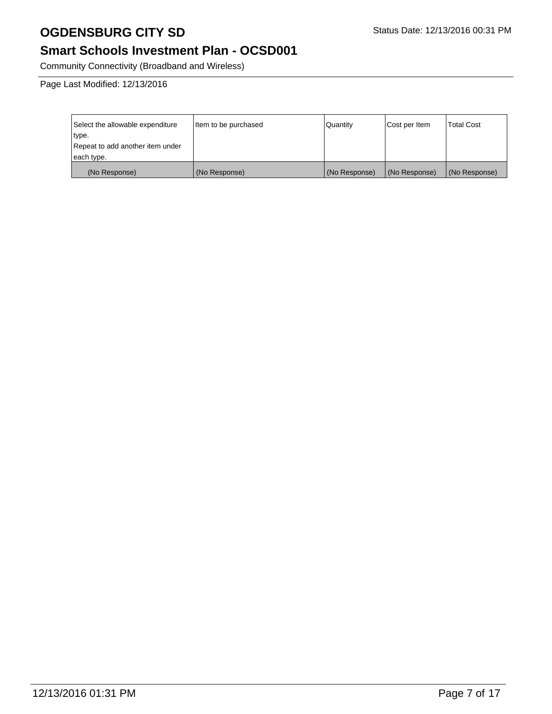### **Smart Schools Investment Plan - OCSD001**

Community Connectivity (Broadband and Wireless)

Page Last Modified: 12/13/2016

| Select the allowable expenditure | Item to be purchased | Quantity      | Cost per Item | Total Cost    |
|----------------------------------|----------------------|---------------|---------------|---------------|
| type.                            |                      |               |               |               |
| Repeat to add another item under |                      |               |               |               |
| each type.                       |                      |               |               |               |
| (No Response)                    | (No Response)        | (No Response) | (No Response) | (No Response) |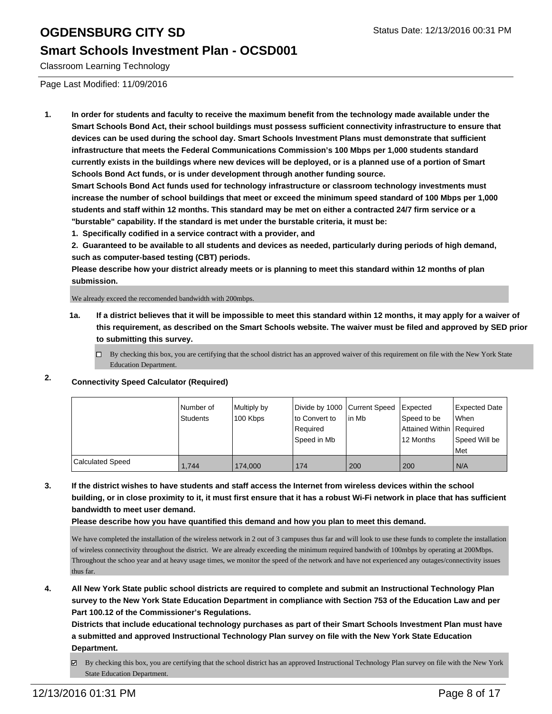#### **Smart Schools Investment Plan - OCSD001**

Classroom Learning Technology

Page Last Modified: 11/09/2016

**1. In order for students and faculty to receive the maximum benefit from the technology made available under the Smart Schools Bond Act, their school buildings must possess sufficient connectivity infrastructure to ensure that devices can be used during the school day. Smart Schools Investment Plans must demonstrate that sufficient infrastructure that meets the Federal Communications Commission's 100 Mbps per 1,000 students standard currently exists in the buildings where new devices will be deployed, or is a planned use of a portion of Smart Schools Bond Act funds, or is under development through another funding source.**

**Smart Schools Bond Act funds used for technology infrastructure or classroom technology investments must increase the number of school buildings that meet or exceed the minimum speed standard of 100 Mbps per 1,000 students and staff within 12 months. This standard may be met on either a contracted 24/7 firm service or a "burstable" capability. If the standard is met under the burstable criteria, it must be:**

**1. Specifically codified in a service contract with a provider, and**

**2. Guaranteed to be available to all students and devices as needed, particularly during periods of high demand, such as computer-based testing (CBT) periods.**

**Please describe how your district already meets or is planning to meet this standard within 12 months of plan submission.**

We already exceed the reccomended bandwidth with 200mbps.

- **1a. If a district believes that it will be impossible to meet this standard within 12 months, it may apply for a waiver of this requirement, as described on the Smart Schools website. The waiver must be filed and approved by SED prior to submitting this survey.**
	- $\Box$  By checking this box, you are certifying that the school district has an approved waiver of this requirement on file with the New York State Education Department.
- **2. Connectivity Speed Calculator (Required)**

|                         | Number of<br><b>Students</b> | Multiply by<br>100 Kbps | Divide by 1000 Current Speed<br>to Convert to<br>l Reauired<br>Speed in Mb | lin Mb | Expected<br>Speed to be<br>Attained Within   Required<br>12 Months | Expected Date<br><b>When</b><br>Speed Will be<br><b>Met</b> |
|-------------------------|------------------------------|-------------------------|----------------------------------------------------------------------------|--------|--------------------------------------------------------------------|-------------------------------------------------------------|
| <b>Calculated Speed</b> | 1,744                        | 174,000                 | 174                                                                        | 200    | 200                                                                | N/A                                                         |

**3. If the district wishes to have students and staff access the Internet from wireless devices within the school building, or in close proximity to it, it must first ensure that it has a robust Wi-Fi network in place that has sufficient bandwidth to meet user demand.**

**Please describe how you have quantified this demand and how you plan to meet this demand.**

We have completed the installation of the wireless network in 2 out of 3 campuses thus far and will look to use these funds to complete the installation of wireless connectivity throughout the district. We are already exceeding the minimum required bandwith of 100mbps by operating at 200Mbps. Throughout the schoo year and at heavy usage times, we monitor the speed of the network and have not experienced any outages/connectivity issues thus far.

**4. All New York State public school districts are required to complete and submit an Instructional Technology Plan survey to the New York State Education Department in compliance with Section 753 of the Education Law and per Part 100.12 of the Commissioner's Regulations.**

**Districts that include educational technology purchases as part of their Smart Schools Investment Plan must have a submitted and approved Instructional Technology Plan survey on file with the New York State Education Department.**

By checking this box, you are certifying that the school district has an approved Instructional Technology Plan survey on file with the New York ☞ State Education Department.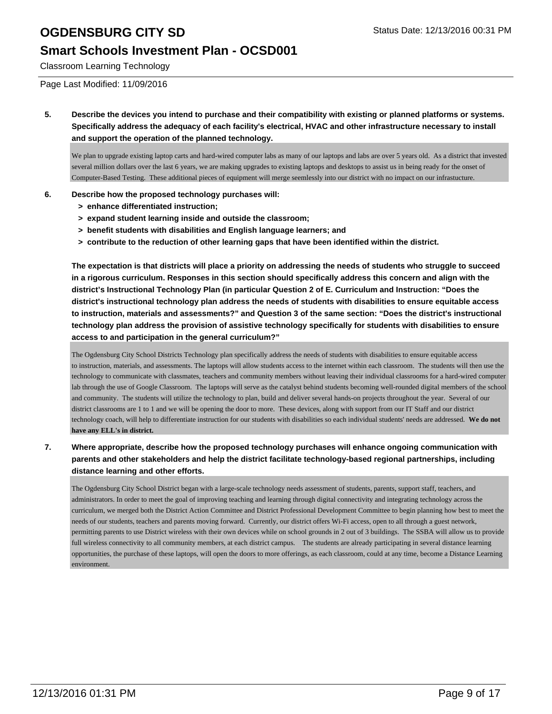#### **Smart Schools Investment Plan - OCSD001**

Classroom Learning Technology

Page Last Modified: 11/09/2016

**5. Describe the devices you intend to purchase and their compatibility with existing or planned platforms or systems. Specifically address the adequacy of each facility's electrical, HVAC and other infrastructure necessary to install and support the operation of the planned technology.**

We plan to upgrade existing laptop carts and hard-wired computer labs as many of our laptops and labs are over 5 years old. As a district that invested several million dollars over the last 6 years, we are making upgrades to existing laptops and desktops to assist us in being ready for the onset of Computer-Based Testing. These additional pieces of equipment will merge seemlessly into our district with no impact on our infrastucture.

#### **6. Describe how the proposed technology purchases will:**

- **> enhance differentiated instruction;**
- **> expand student learning inside and outside the classroom;**
- **> benefit students with disabilities and English language learners; and**
- **> contribute to the reduction of other learning gaps that have been identified within the district.**

**The expectation is that districts will place a priority on addressing the needs of students who struggle to succeed in a rigorous curriculum. Responses in this section should specifically address this concern and align with the district's Instructional Technology Plan (in particular Question 2 of E. Curriculum and Instruction: "Does the district's instructional technology plan address the needs of students with disabilities to ensure equitable access to instruction, materials and assessments?" and Question 3 of the same section: "Does the district's instructional technology plan address the provision of assistive technology specifically for students with disabilities to ensure access to and participation in the general curriculum?"**

The Ogdensburg City School Districts Technology plan specifically address the needs of students with disabilities to ensure equitable access to instruction, materials, and assessments. The laptops will allow students access to the internet within each classroom. The students will then use the technology to communicate with classmates, teachers and community members without leaving their individual classrooms for a hard-wired computer lab through the use of Google Classroom. The laptops will serve as the catalyst behind students becoming well-rounded digital members of the school and community. The students will utilize the technology to plan, build and deliver several hands-on projects throughout the year. Several of our district classrooms are 1 to 1 and we will be opening the door to more. These devices, along with support from our IT Staff and our district technology coach, will help to differentiate instruction for our students with disabilities so each individual students' needs are addressed. **We do not have any ELL's in district.**

**7. Where appropriate, describe how the proposed technology purchases will enhance ongoing communication with parents and other stakeholders and help the district facilitate technology-based regional partnerships, including distance learning and other efforts.**

The Ogdensburg City School District began with a large-scale technology needs assessment of students, parents, support staff, teachers, and administrators. In order to meet the goal of improving teaching and learning through digital connectivity and integrating technology across the curriculum, we merged both the District Action Committee and District Professional Development Committee to begin planning how best to meet the needs of our students, teachers and parents moving forward. Currently, our district offers Wi-Fi access, open to all through a guest network, permitting parents to use District wireless with their own devices while on school grounds in 2 out of 3 buildings. The SSBA will allow us to provide full wireless connectivity to all community members, at each district campus. The students are already participating in several distance learning opportunities, the purchase of these laptops, will open the doors to more offerings, as each classroom, could at any time, become a Distance Learning environment.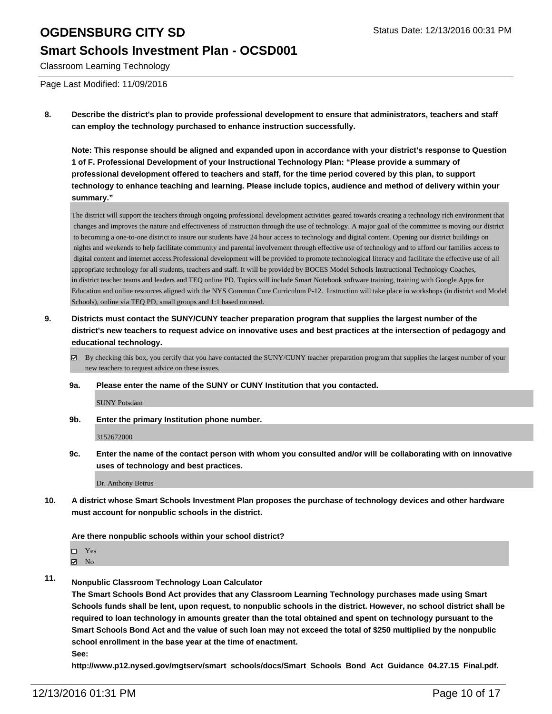#### **Smart Schools Investment Plan - OCSD001**

Classroom Learning Technology

Page Last Modified: 11/09/2016

**8. Describe the district's plan to provide professional development to ensure that administrators, teachers and staff can employ the technology purchased to enhance instruction successfully.**

**Note: This response should be aligned and expanded upon in accordance with your district's response to Question 1 of F. Professional Development of your Instructional Technology Plan: "Please provide a summary of professional development offered to teachers and staff, for the time period covered by this plan, to support technology to enhance teaching and learning. Please include topics, audience and method of delivery within your summary."**

The district will support the teachers through ongoing professional development activities geared towards creating a technology rich environment that changes and improves the nature and effectiveness of instruction through the use of technology. A major goal of the committee is moving our district to becoming a one-to-one district to insure our students have 24 hour access to technology and digital content. Opening our district buildings on nights and weekends to help facilitate community and parental involvement through effective use of technology and to afford our families access to digital content and internet access.Professional development will be provided to promote technological literacy and facilitate the effective use of all appropriate technology for all students, teachers and staff. It will be provided by BOCES Model Schools Instructional Technology Coaches, in district teacher teams and leaders and TEQ online PD. Topics will include Smart Notebook software training, training with Google Apps for Education and online resources aligned with the NYS Common Core Curriculum P-12. Instruction will take place in workshops (in district and Model Schools), online via TEQ PD, small groups and 1:1 based on need.

- **9. Districts must contact the SUNY/CUNY teacher preparation program that supplies the largest number of the district's new teachers to request advice on innovative uses and best practices at the intersection of pedagogy and educational technology.**
	- By checking this box, you certify that you have contacted the SUNY/CUNY teacher preparation program that supplies the largest number of your new teachers to request advice on these issues.
	- **9a. Please enter the name of the SUNY or CUNY Institution that you contacted.**

SUNY Potsdam

**9b. Enter the primary Institution phone number.**

3152672000

**9c. Enter the name of the contact person with whom you consulted and/or will be collaborating with on innovative uses of technology and best practices.**

Dr. Anthony Betrus

**10. A district whose Smart Schools Investment Plan proposes the purchase of technology devices and other hardware must account for nonpublic schools in the district.**

**Are there nonpublic schools within your school district?**

□ Yes

 $\boxtimes$  No

- 
- **11. Nonpublic Classroom Technology Loan Calculator**

**The Smart Schools Bond Act provides that any Classroom Learning Technology purchases made using Smart Schools funds shall be lent, upon request, to nonpublic schools in the district. However, no school district shall be required to loan technology in amounts greater than the total obtained and spent on technology pursuant to the Smart Schools Bond Act and the value of such loan may not exceed the total of \$250 multiplied by the nonpublic school enrollment in the base year at the time of enactment.**

**See:**

**http://www.p12.nysed.gov/mgtserv/smart\_schools/docs/Smart\_Schools\_Bond\_Act\_Guidance\_04.27.15\_Final.pdf.**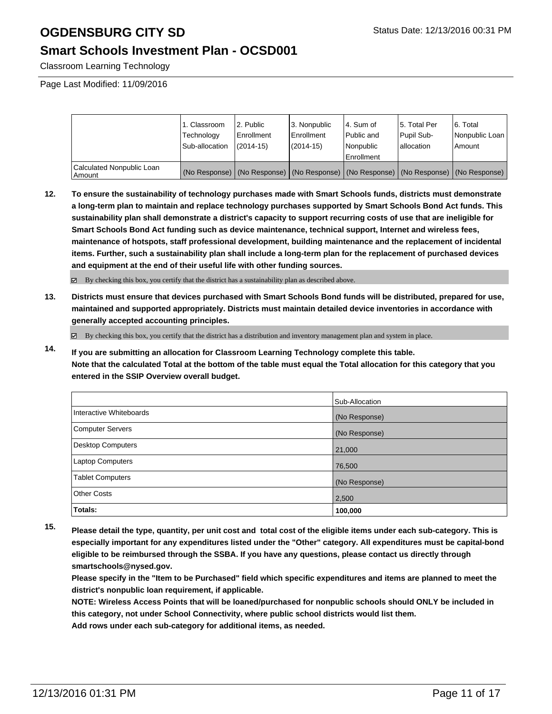### **Smart Schools Investment Plan - OCSD001**

Classroom Learning Technology

Page Last Modified: 11/09/2016

|                                     | 1. Classroom<br>Technology<br>Sub-allocation | 2. Public<br>Enrollment<br>$(2014 - 15)$ | 3. Nonpublic<br><b>Enrollment</b><br>(2014-15) | 4. Sum of<br>Public and<br>Nonpublic<br>Enrollment                                            | 15. Total Per<br>Pupil Sub-<br>lallocation | 6. Total<br>Nonpublic Loan<br>Amount |
|-------------------------------------|----------------------------------------------|------------------------------------------|------------------------------------------------|-----------------------------------------------------------------------------------------------|--------------------------------------------|--------------------------------------|
| Calculated Nonpublic Loan<br>Amount |                                              |                                          |                                                | (No Response)   (No Response)   (No Response)   (No Response)   (No Response)   (No Response) |                                            |                                      |

**12. To ensure the sustainability of technology purchases made with Smart Schools funds, districts must demonstrate a long-term plan to maintain and replace technology purchases supported by Smart Schools Bond Act funds. This sustainability plan shall demonstrate a district's capacity to support recurring costs of use that are ineligible for Smart Schools Bond Act funding such as device maintenance, technical support, Internet and wireless fees, maintenance of hotspots, staff professional development, building maintenance and the replacement of incidental items. Further, such a sustainability plan shall include a long-term plan for the replacement of purchased devices and equipment at the end of their useful life with other funding sources.**

By checking this box, you certify that the district has a sustainability plan as described above.

**13. Districts must ensure that devices purchased with Smart Schools Bond funds will be distributed, prepared for use, maintained and supported appropriately. Districts must maintain detailed device inventories in accordance with generally accepted accounting principles.**

By checking this box, you certify that the district has a distribution and inventory management plan and system in place.

**14. If you are submitting an allocation for Classroom Learning Technology complete this table. Note that the calculated Total at the bottom of the table must equal the Total allocation for this category that you entered in the SSIP Overview overall budget.**

|                         | Sub-Allocation |
|-------------------------|----------------|
| Interactive Whiteboards | (No Response)  |
| Computer Servers        | (No Response)  |
| Desktop Computers       | 21,000         |
| Laptop Computers        | 76,500         |
| Tablet Computers        | (No Response)  |
| <b>Other Costs</b>      | 2,500          |
| Totals:                 | 100,000        |

**15. Please detail the type, quantity, per unit cost and total cost of the eligible items under each sub-category. This is especially important for any expenditures listed under the "Other" category. All expenditures must be capital-bond eligible to be reimbursed through the SSBA. If you have any questions, please contact us directly through smartschools@nysed.gov.**

**Please specify in the "Item to be Purchased" field which specific expenditures and items are planned to meet the district's nonpublic loan requirement, if applicable.**

**NOTE: Wireless Access Points that will be loaned/purchased for nonpublic schools should ONLY be included in this category, not under School Connectivity, where public school districts would list them.**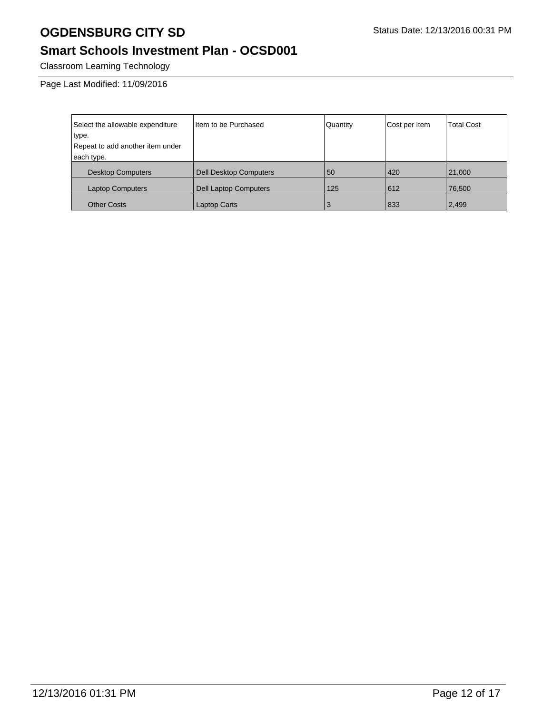## **Smart Schools Investment Plan - OCSD001**

Classroom Learning Technology

Page Last Modified: 11/09/2016

| Select the allowable expenditure | Item to be Purchased          | Quantity | Cost per Item | <b>Total Cost</b> |
|----------------------------------|-------------------------------|----------|---------------|-------------------|
| type.                            |                               |          |               |                   |
| Repeat to add another item under |                               |          |               |                   |
| each type.                       |                               |          |               |                   |
| <b>Desktop Computers</b>         | <b>Dell Desktop Computers</b> | 50       | 420           | 21,000            |
| <b>Laptop Computers</b>          | <b>Dell Laptop Computers</b>  | 125      | 612           | 76,500            |
| <b>Other Costs</b>               | Laptop Carts                  | 3        | 833           | 2,499             |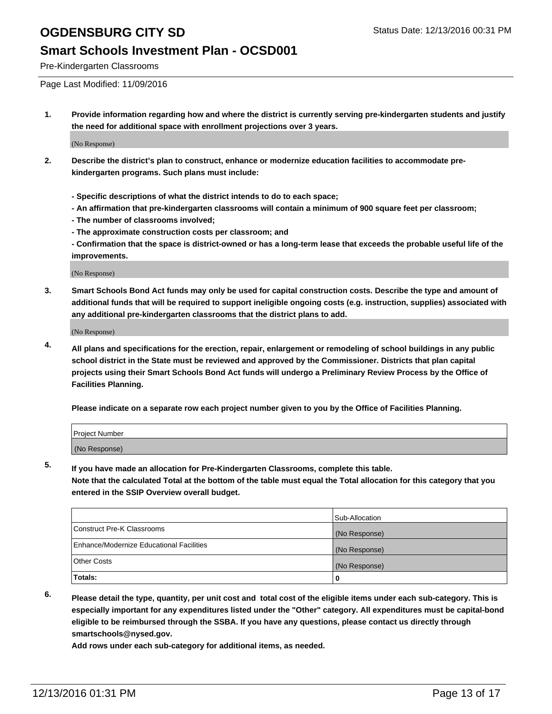#### **Smart Schools Investment Plan - OCSD001**

Pre-Kindergarten Classrooms

Page Last Modified: 11/09/2016

**1. Provide information regarding how and where the district is currently serving pre-kindergarten students and justify the need for additional space with enrollment projections over 3 years.**

(No Response)

- **2. Describe the district's plan to construct, enhance or modernize education facilities to accommodate prekindergarten programs. Such plans must include:**
	- **Specific descriptions of what the district intends to do to each space;**
	- **An affirmation that pre-kindergarten classrooms will contain a minimum of 900 square feet per classroom;**
	- **The number of classrooms involved;**
	- **The approximate construction costs per classroom; and**
	- **Confirmation that the space is district-owned or has a long-term lease that exceeds the probable useful life of the improvements.**

(No Response)

**3. Smart Schools Bond Act funds may only be used for capital construction costs. Describe the type and amount of additional funds that will be required to support ineligible ongoing costs (e.g. instruction, supplies) associated with any additional pre-kindergarten classrooms that the district plans to add.**

(No Response)

**4. All plans and specifications for the erection, repair, enlargement or remodeling of school buildings in any public school district in the State must be reviewed and approved by the Commissioner. Districts that plan capital projects using their Smart Schools Bond Act funds will undergo a Preliminary Review Process by the Office of Facilities Planning.**

**Please indicate on a separate row each project number given to you by the Office of Facilities Planning.**

| Project Number |  |  |
|----------------|--|--|
| (No Response)  |  |  |

**5. If you have made an allocation for Pre-Kindergarten Classrooms, complete this table.**

**Note that the calculated Total at the bottom of the table must equal the Total allocation for this category that you entered in the SSIP Overview overall budget.**

|                                          | Sub-Allocation |
|------------------------------------------|----------------|
| Construct Pre-K Classrooms               | (No Response)  |
| Enhance/Modernize Educational Facilities | (No Response)  |
| Other Costs                              | (No Response)  |
| Totals:                                  |                |

**6. Please detail the type, quantity, per unit cost and total cost of the eligible items under each sub-category. This is especially important for any expenditures listed under the "Other" category. All expenditures must be capital-bond eligible to be reimbursed through the SSBA. If you have any questions, please contact us directly through smartschools@nysed.gov.**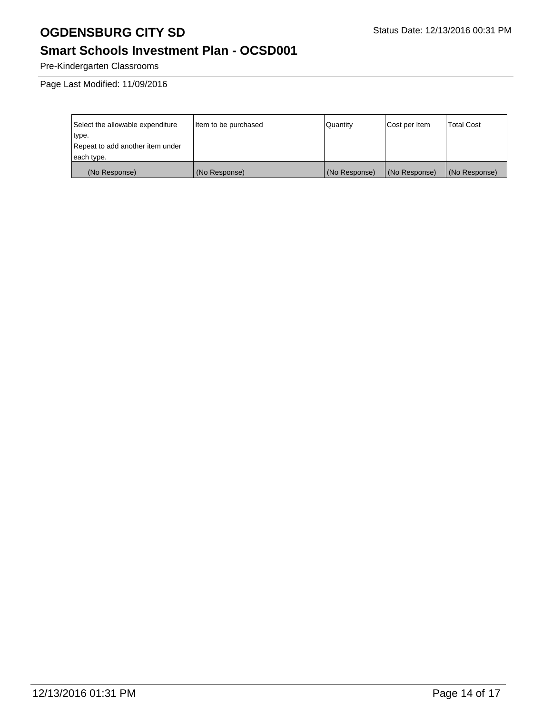## **Smart Schools Investment Plan - OCSD001**

Pre-Kindergarten Classrooms

Page Last Modified: 11/09/2016

| Select the allowable expenditure | Item to be purchased | Quantity      | Cost per Item | <b>Total Cost</b> |
|----------------------------------|----------------------|---------------|---------------|-------------------|
| type.                            |                      |               |               |                   |
| Repeat to add another item under |                      |               |               |                   |
| each type.                       |                      |               |               |                   |
| (No Response)                    | (No Response)        | (No Response) | (No Response) | (No Response)     |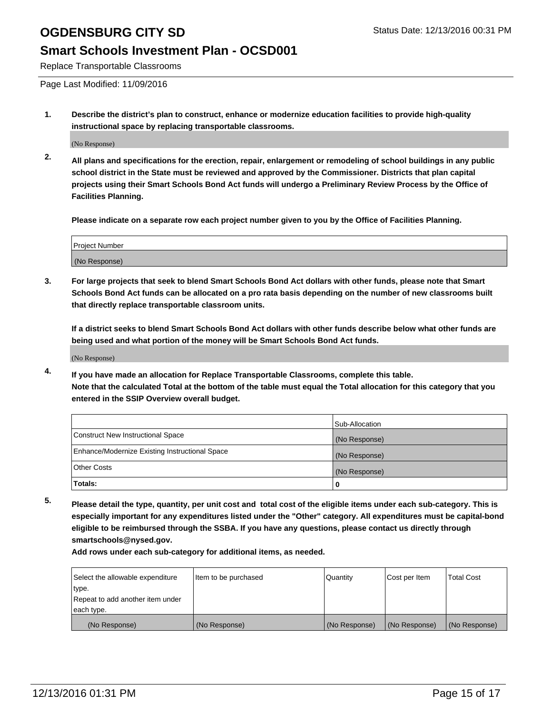### **Smart Schools Investment Plan - OCSD001**

Replace Transportable Classrooms

Page Last Modified: 11/09/2016

**1. Describe the district's plan to construct, enhance or modernize education facilities to provide high-quality instructional space by replacing transportable classrooms.**

(No Response)

**2. All plans and specifications for the erection, repair, enlargement or remodeling of school buildings in any public school district in the State must be reviewed and approved by the Commissioner. Districts that plan capital projects using their Smart Schools Bond Act funds will undergo a Preliminary Review Process by the Office of Facilities Planning.**

**Please indicate on a separate row each project number given to you by the Office of Facilities Planning.**

| <b>Project Number</b> |  |
|-----------------------|--|
| (No Response)         |  |

**3. For large projects that seek to blend Smart Schools Bond Act dollars with other funds, please note that Smart Schools Bond Act funds can be allocated on a pro rata basis depending on the number of new classrooms built that directly replace transportable classroom units.**

**If a district seeks to blend Smart Schools Bond Act dollars with other funds describe below what other funds are being used and what portion of the money will be Smart Schools Bond Act funds.**

(No Response)

**4. If you have made an allocation for Replace Transportable Classrooms, complete this table. Note that the calculated Total at the bottom of the table must equal the Total allocation for this category that you entered in the SSIP Overview overall budget.**

|                                                | Sub-Allocation |
|------------------------------------------------|----------------|
| Construct New Instructional Space              | (No Response)  |
| Enhance/Modernize Existing Instructional Space | (No Response)  |
| <b>Other Costs</b>                             | (No Response)  |
| Totals:                                        |                |

**5. Please detail the type, quantity, per unit cost and total cost of the eligible items under each sub-category. This is especially important for any expenditures listed under the "Other" category. All expenditures must be capital-bond eligible to be reimbursed through the SSBA. If you have any questions, please contact us directly through smartschools@nysed.gov.**

| Select the allowable expenditure | Item to be purchased | Quantity      | Cost per Item | <b>Total Cost</b> |
|----------------------------------|----------------------|---------------|---------------|-------------------|
| type.                            |                      |               |               |                   |
| Repeat to add another item under |                      |               |               |                   |
| each type.                       |                      |               |               |                   |
| (No Response)                    | (No Response)        | (No Response) | (No Response) | (No Response)     |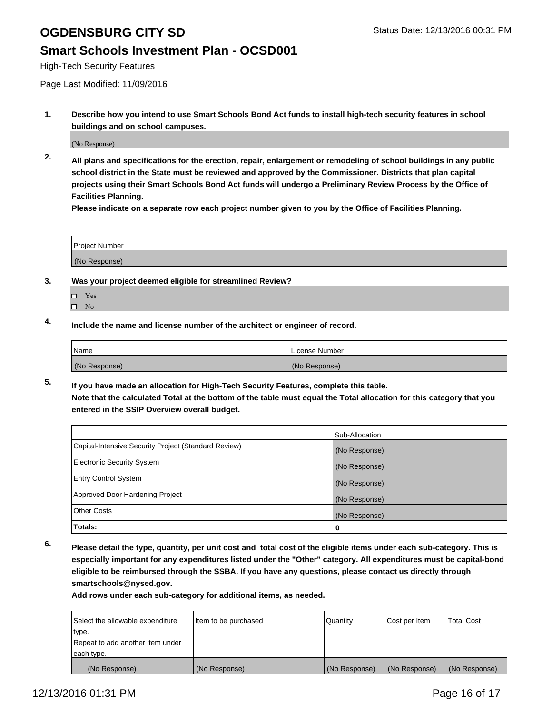#### **Smart Schools Investment Plan - OCSD001**

High-Tech Security Features

Page Last Modified: 11/09/2016

**1. Describe how you intend to use Smart Schools Bond Act funds to install high-tech security features in school buildings and on school campuses.**

(No Response)

**2. All plans and specifications for the erection, repair, enlargement or remodeling of school buildings in any public school district in the State must be reviewed and approved by the Commissioner. Districts that plan capital projects using their Smart Schools Bond Act funds will undergo a Preliminary Review Process by the Office of Facilities Planning.** 

**Please indicate on a separate row each project number given to you by the Office of Facilities Planning.**

| <b>Project Number</b> |  |
|-----------------------|--|
| (No Response)         |  |

- **3. Was your project deemed eligible for streamlined Review?**
	- □ Yes
	- $\square$  No
- **4. Include the name and license number of the architect or engineer of record.**

| 'Name         | License Number |
|---------------|----------------|
| (No Response) | (No Response)  |

**5. If you have made an allocation for High-Tech Security Features, complete this table. Note that the calculated Total at the bottom of the table must equal the Total allocation for this category that you entered in the SSIP Overview overall budget.**

|                                                      | Sub-Allocation |
|------------------------------------------------------|----------------|
| Capital-Intensive Security Project (Standard Review) | (No Response)  |
| <b>Electronic Security System</b>                    | (No Response)  |
| <b>Entry Control System</b>                          | (No Response)  |
| Approved Door Hardening Project                      | (No Response)  |
| <b>Other Costs</b>                                   | (No Response)  |
| Totals:                                              | 0              |

**6. Please detail the type, quantity, per unit cost and total cost of the eligible items under each sub-category. This is especially important for any expenditures listed under the "Other" category. All expenditures must be capital-bond eligible to be reimbursed through the SSBA. If you have any questions, please contact us directly through smartschools@nysed.gov.**

| Select the allowable expenditure | Item to be purchased | Quantity      | Cost per Item | <b>Total Cost</b> |
|----------------------------------|----------------------|---------------|---------------|-------------------|
| type.                            |                      |               |               |                   |
| Repeat to add another item under |                      |               |               |                   |
| each type.                       |                      |               |               |                   |
| (No Response)                    | (No Response)        | (No Response) | (No Response) | (No Response)     |